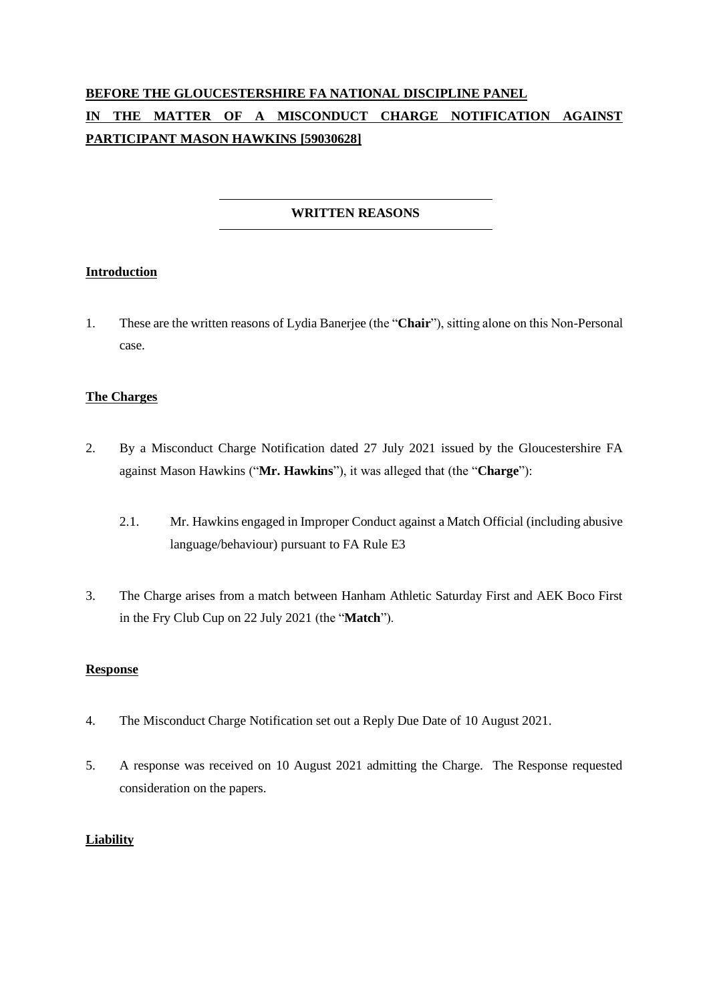# **BEFORE THE GLOUCESTERSHIRE FA NATIONAL DISCIPLINE PANEL IN THE MATTER OF A MISCONDUCT CHARGE NOTIFICATION AGAINST PARTICIPANT MASON HAWKINS [59030628]**

# **WRITTEN REASONS**

## **Introduction**

1. These are the written reasons of Lydia Banerjee (the "**Chair**"), sitting alone on this Non-Personal case.

## **The Charges**

- 2. By a Misconduct Charge Notification dated 27 July 2021 issued by the Gloucestershire FA against Mason Hawkins ("**Mr. Hawkins**"), it was alleged that (the "**Charge**"):
	- 2.1. Mr. Hawkins engaged in Improper Conduct against a Match Official (including abusive language/behaviour) pursuant to FA Rule E3
- 3. The Charge arises from a match between Hanham Athletic Saturday First and AEK Boco First in the Fry Club Cup on 22 July 2021 (the "**Match**").

## **Response**

- 4. The Misconduct Charge Notification set out a Reply Due Date of 10 August 2021.
- 5. A response was received on 10 August 2021 admitting the Charge. The Response requested consideration on the papers.

#### **Liability**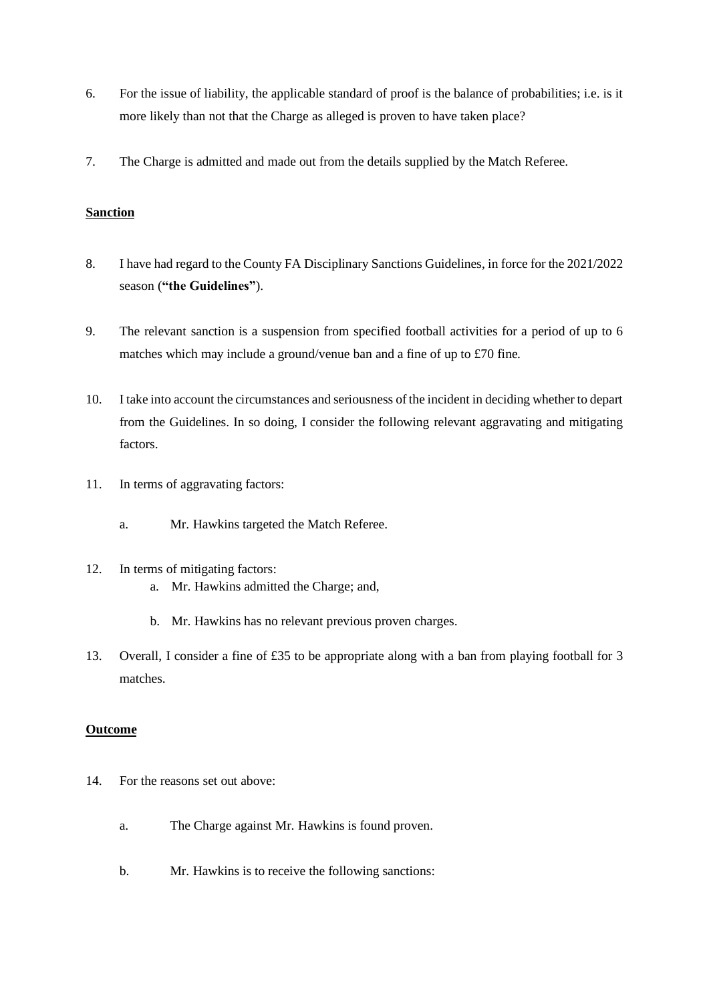- 6. For the issue of liability, the applicable standard of proof is the balance of probabilities; i.e. is it more likely than not that the Charge as alleged is proven to have taken place?
- 7. The Charge is admitted and made out from the details supplied by the Match Referee.

#### **Sanction**

- 8. I have had regard to the County FA Disciplinary Sanctions Guidelines, in force for the 2021/2022 season (**"the Guidelines"**).
- 9. The relevant sanction is a suspension from specified football activities for a period of up to 6 matches which may include a ground/venue ban and a fine of up to £70 fine.
- 10. I take into account the circumstances and seriousness of the incident in deciding whether to depart from the Guidelines. In so doing, I consider the following relevant aggravating and mitigating factors.
- 11. In terms of aggravating factors:
	- a. Mr. Hawkins targeted the Match Referee.
- 12. In terms of mitigating factors:
	- a. Mr. Hawkins admitted the Charge; and,
	- b. Mr. Hawkins has no relevant previous proven charges.
- 13. Overall, I consider a fine of £35 to be appropriate along with a ban from playing football for 3 matches.

#### **Outcome**

- 14. For the reasons set out above:
	- a. The Charge against Mr. Hawkins is found proven.
	- b. Mr. Hawkins is to receive the following sanctions: